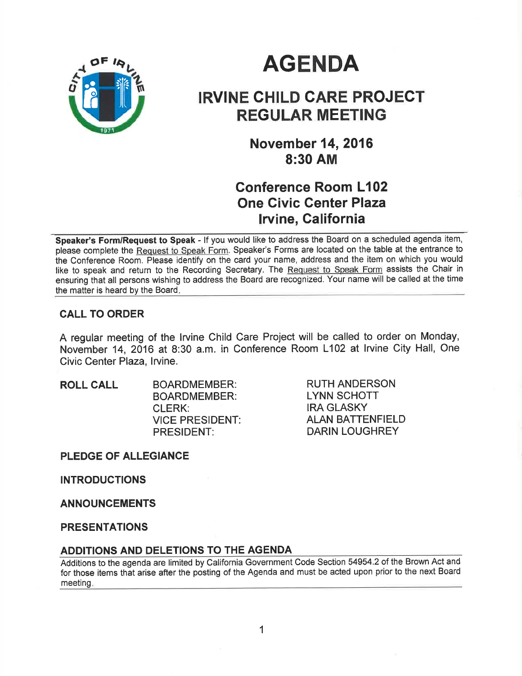

# **AGENDA**

## IRVINE GHILD CARE PROJECT REGULAR MEETING

**November 14, 2016** 8:30 AM

## Gonference Room L102 One Civic Genter Plaza Irvine, California

Speaker's Form/Request to Speak - If you would like to address the Board on a scheduled agenda item, please complete the Request to Speak Form. Speaker's Forms are located on the table at the entrance to the Conference Room. Please identify on the card your name, address and the item on which you would like to speak and return to the Recording Secretary. The Request to Speak Form assists the Chair in ensuring that all persons wishing to address the Board are recognized. Your name will be called at the time the matter is heard by the Board

## CALL TO ORDER

A regular meeting of the Irvine Child Care Project will be called to order on Monday, November 14, 2016 at 8:30 a.m. in Conference Room L102 at lrvine City Hall, One Civic Center Plaza, lrvine.

ROLL CALL BOARDMEMBER: BOARDMEMBER: CLERK: VICE PRESIDENT: PRESIDENT:

RUTH ANDERSON LYNN SCHOTT IRA GLASKY ALAN BATTENFIELD DARIN LOUGHREY

PLEDGE OF ALLEGIANCE

**INTRODUCTIONS** 

ANNOUNGEMENTS

PRESENTATIONS

#### ADDITIONS AND DELETIONS TO THE AGENDA

Additions to the agenda are limited by California Government Code Section 54954.2 of the Brown Act and for those items that arise after the posting of the Agenda and must be acted upon prior to the next Board meeting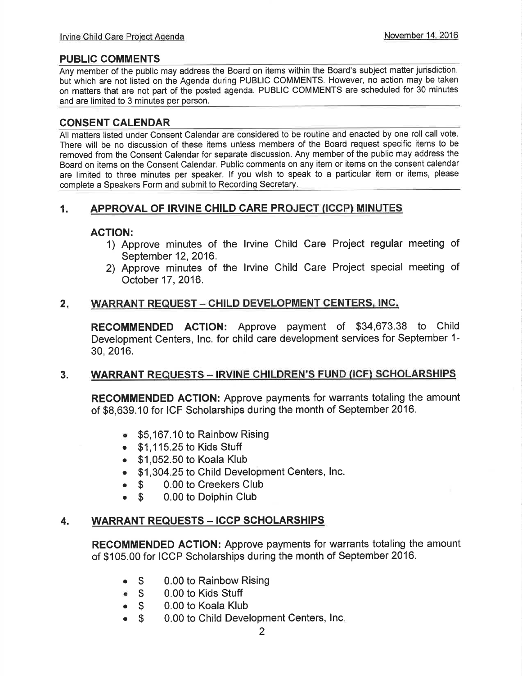## PUBLIC COMMENTS

Any member of the public may address the Board on items within the Board's subject matter jurisdiction, but which are not listed on the Agenda during PUBLIC COMMENTS. However, no action may be taken on matters that are not part of the posted agenda. PUBLIC COMMENTS are scheduled for 30 minutes and are limited to 3 minutes per person.

## CONSENT CALENDAR

All matters listed under Consent Calendar are considered to be routine and enacted by one roll call vote. There will be no discussion of these items unless members of the Board request specific items to be removed from the Consent Calendar for separate discussion. Any member of the public may address the Board on items on the Consent Calendar. Public comments on any item or items on the consent calendar are limited to three minutes per speaker. lf you wish to speak to a particular item or items, please complete a Speakers Form and submit to Recording Secretary

## 1. APPROVAL OF IRVINE CHILD CARE PROJECT (ICCP) MINUTES

## AGTION:

- 1) Approve minutes of the lrvine Child Care Project regular meeting of September 12, 2016.
- 2) Approve minutes of the lrvine Child Care Project special meeting of October 17,2016.

#### $2.$ WARRANT REQUEST - CHILD DEVELOPMENT CENTERS, INC.

RECOMMENDED ACTION: Approve payment of \$34,673.38 to Child Development Centers, lnc. for child care development services for September 1- 30,2016.

#### 3. WARRANT REQUESTS - IRVINE CHILDREN'S FUND (ICF) SCHOLARSHIPS

RECOMMENDED AGTION: Approve payments for warrants totaling the amount of \$8,639.10 for ICF Scholarships during the month of September 2016.

- . \$5,167.10 to Rainbow Rising
- $\bullet$  \$1,115.25 to Kids Stuff
- $\bullet$  \$1,052.50 to Koala Klub
- . \$1 ,304.25 to Child Development Centers, lnc.
- **S** 0.00 to Creekers Club<br> **S** 0.00 to Dolphin Club
- 0.00 to Dolphin Club

#### 4. WARRANT REQUESTS - ICCP SCHOLARSHIPS

RECOMMENDED AGTION: Approve payments for warrants totaling the amount of \$105.00 for ICCP Scholarships during the month of September 2016.

- 0.00 to Rainbow Rising  $\bullet$  S
- 0.00 to Kids Stuff  $\bullet$  \$
- 0.00 to Koala Klub  $\bullet$  \$
- 0.00 to Child Development Centers, Inc o\$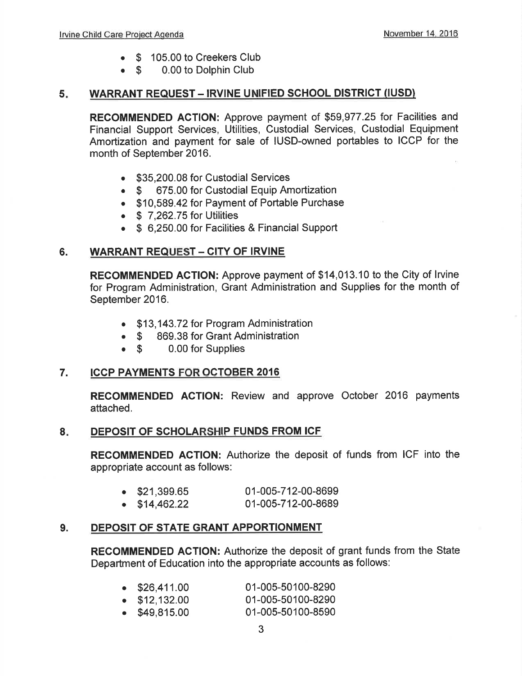- o \$ 105.00 to Creekers Club
- $\bullet$  S 0.00 to Dolphin Club

## 5. WARRANT REQUEST - IRVINE UNIFIED SCHOOL DISTRICT (IUSD)

RECOMMENDED AGTION: Approve payment of \$59,977.25 tor Facilities and Financial Support Services, Utilities, Custodial Services, Custodial Equipment Amortization and payment for sale of IUSD-owned portables to ICCP for the month of September 2016.

- \$35,200.08 for Custodial Services
- \$ 675.00 for Custodial Equip Amortization
- . \$10,589.42 for Payment of Portable Purchase
- $\bullet$  \$ 7,262.75 for Utilities
- \$ 6,250.00 for Facilities & Financial Support

## 6. WARRANT REQUEST - CITY OF IRVINE

REGOMMENDED ACTION: Approve payment of \$14,013.10 to the City of lrvine for Program Administration, Grant Administration and Supplies for the month of September 2016.

- . \$13,143.72 for Program Administration
- \$ 869.38 for Grant Administration<br>• \$ 0.00 for Supplies
- o \$ 0.00 for Supplies

## 7. ICCP PAYMENTS FOR OCTOBER 2016

RECOMMENDED AGTION: Review and approve October 2016 payments attached.

#### 8. DEPOSIT OF SCHOLARSHIP FUNDS FROM ICF

RECOMMENDED ACTION: Authorize the deposit of funds from ICF into the appropriate account as follows:

| $\bullet$ \$21,399.65 | 01-005-712-00-8699 |
|-----------------------|--------------------|
| $\bullet$ \$14,462.22 | 01-005-712-00-8689 |

## 9. DEPOSIT OF STATE GRANT APPORTIONMENT

REGOMMENDED ACTION: Authorize the deposit of grant funds from the State Department of Education into the appropriate accounts as follows:

| $\bullet$ \$26,411.00 | 01-005-50100-8290 |
|-----------------------|-------------------|
| $\bullet$ \$12,132.00 | 01-005-50100-8290 |
| \$49,815.00           | 01-005-50100-8590 |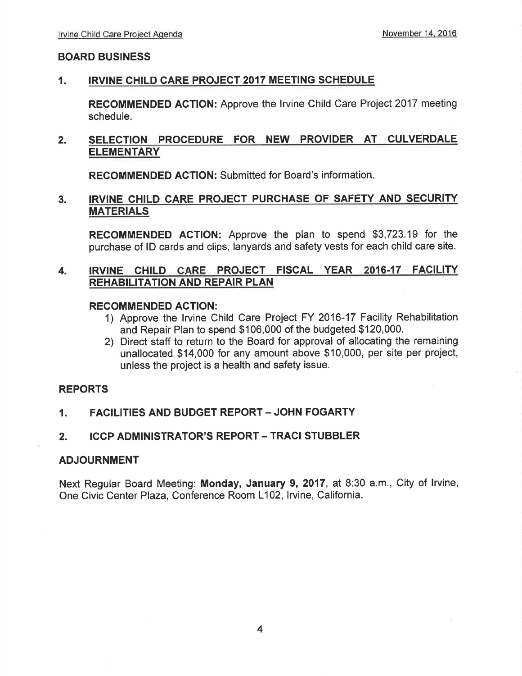#### BOARD BUSINESS

#### 1. IRVINE CHILD CARE PROJECT 2OI7 MEETING SCHEDULE

RECOMMENDED ACTION: Approve the Irvine Child Care Project 2017 meeting schedule.

#### SELECTION PROCEDURE FOR NEW PROVIDER AT CULVERDALE **ELEMENTARY** 2.

RECOMMENDED AGTION: Submitted for Board's information

## 3. IRVINE CHILD CARE PROJECT PURCHASE OF SAFETY AND SECURITY MATERIALS

RECOMMENDED AGTION: Approve the plan to spend \$3,723.19 for the purchase of lD cards and clips, lanyards and safety vests for each child care site.

## 4. IRVINE CHILD CARE PROJECT FISCAL YEAR 2016-17 FACILITY REHABILITATION AND REPAIR PLAN

#### RECOMMENDED ACTION:

- 1) Approve the lrvine Child Care Project FY 2016-17 Facility Rehabilitation and Repair Plan to spend \$106,000 of the budgeted \$120,000.
- 2) Direct staff to return to the Board for approval of allocating the remaining unallocated \$14,000 for any amount above \$10,000, per site per project, unless the project is a health and safety issue.

#### REPORTS

#### 1. FACILITIES AND BUDGET REPORT - JOHN FOGARTY

#### 2. ICCP ADMINISTRATOR'S REPORT - TRACI STUBBLER

#### ADJOURNMENT

Next Regular Board Meeting: Monday, January 9,2017, at 8:30 a.m., City of lrvine, One Civic Center Plaza, Conference Room L102, Irvine, California.